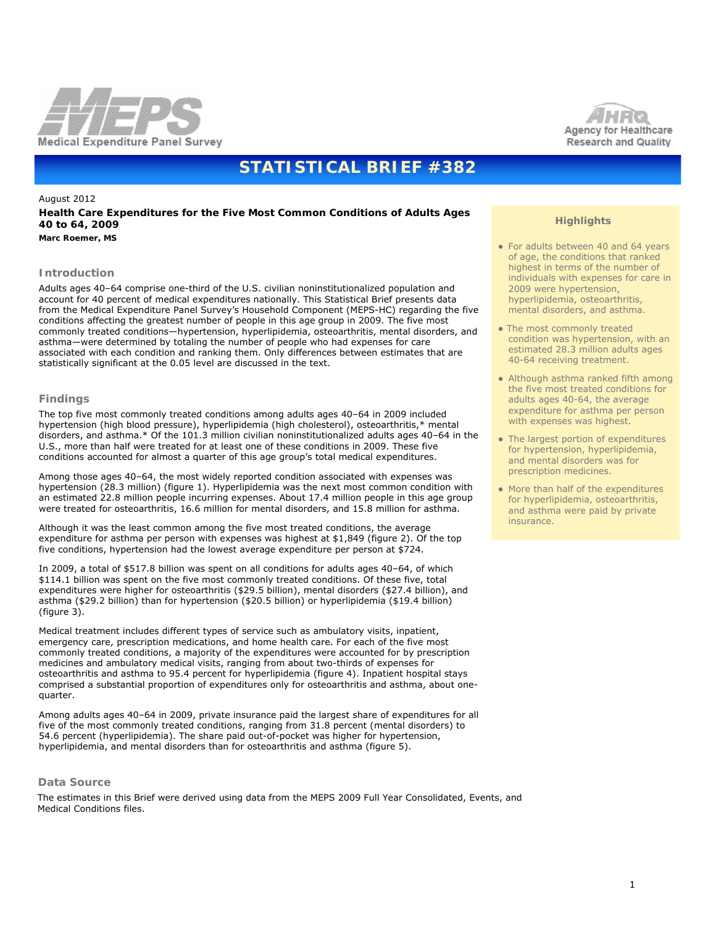



# **STATISTICAL BRIEF #382**

# August 2012

# **Health Care Expenditures for the Five Most Common Conditions of Adults Ages 40 to 64, 2009**

*Marc Roemer, MS*

## **Introduction**

Adults ages 40–64 comprise one-third of the U.S. civilian noninstitutionalized population and account for 40 percent of medical expenditures nationally. This Statistical Brief presents data from the Medical Expenditure Panel Survey's Household Component (MEPS-HC) regarding the five conditions affecting the greatest number of people in this age group in 2009. The five most commonly treated conditions—hypertension, hyperlipidemia, osteoarthritis, mental disorders, and asthma—were determined by totaling the number of people who had expenses for care associated with each condition and ranking them. Only differences between estimates that are statistically significant at the 0.05 level are discussed in the text.

## **Findings**

The top five most commonly treated conditions among adults ages 40–64 in 2009 included hypertension (high blood pressure), hyperlipidemia (high cholesterol), osteoarthritis,\* mental disorders, and asthma.\* Of the 101.3 million civilian noninstitutionalized adults ages 40–64 in the U.S., more than half were treated for at least one of these conditions in 2009. These five conditions accounted for almost a quarter of this age group's total medical expenditures.

Among those ages 40–64, the most widely reported condition associated with expenses was hypertension (28.3 million) (figure 1). Hyperlipidemia was the next most common condition with an estimated 22.8 million people incurring expenses. About 17.4 million people in this age group were treated for osteoarthritis, 16.6 million for mental disorders, and 15.8 million for asthma.

Although it was the least common among the five most treated conditions, the average expenditure for asthma per person with expenses was highest at \$1,849 (figure 2). Of the top five conditions, hypertension had the lowest average expenditure per person at \$724.

In 2009, a total of \$517.8 billion was spent on all conditions for adults ages 40–64, of which \$114.1 billion was spent on the five most commonly treated conditions. Of these five, total expenditures were higher for osteoarthritis (\$29.5 billion), mental disorders (\$27.4 billion), and asthma (\$29.2 billion) than for hypertension (\$20.5 billion) or hyperlipidemia (\$19.4 billion) (figure 3).

Medical treatment includes different types of service such as ambulatory visits, inpatient, emergency care, prescription medications, and home health care. For each of the five most commonly treated conditions, a majority of the expenditures were accounted for by prescription medicines and ambulatory medical visits, ranging from about two-thirds of expenses for osteoarthritis and asthma to 95.4 percent for hyperlipidemia (figure 4). Inpatient hospital stays comprised a substantial proportion of expenditures only for osteoarthritis and asthma, about onequarter.

Among adults ages 40–64 in 2009, private insurance paid the largest share of expenditures for all five of the most commonly treated conditions, ranging from 31.8 percent (mental disorders) to 54.6 percent (hyperlipidemia). The share paid out-of-pocket was higher for hypertension, hyperlipidemia, and mental disorders than for osteoarthritis and asthma (figure 5).

#### **Data Source**

 The estimates in this Brief were derived using data from the MEPS 2009 Full Year Consolidated, Events, and Medical Conditions files.

# **Highlights**

- For adults between 40 and 64 years of age, the conditions that ranked highest in terms of the number of individuals with expenses for care in 2009 were hypertension, hyperlipidemia, osteoarthritis, mental disorders, and asthma.
- The most commonly treated condition was hypertension, with an estimated 28.3 million adults ages 40-64 receiving treatment.
- Although asthma ranked fifth among the five most treated conditions for adults ages 40-64, the average expenditure for asthma per person with expenses was highest.
- The largest portion of expenditures for hypertension, hyperlipidemia, and mental disorders was for prescription medicines.
- More than half of the expenditures for hyperlipidemia, osteoarthritis, and asthma were paid by private insurance.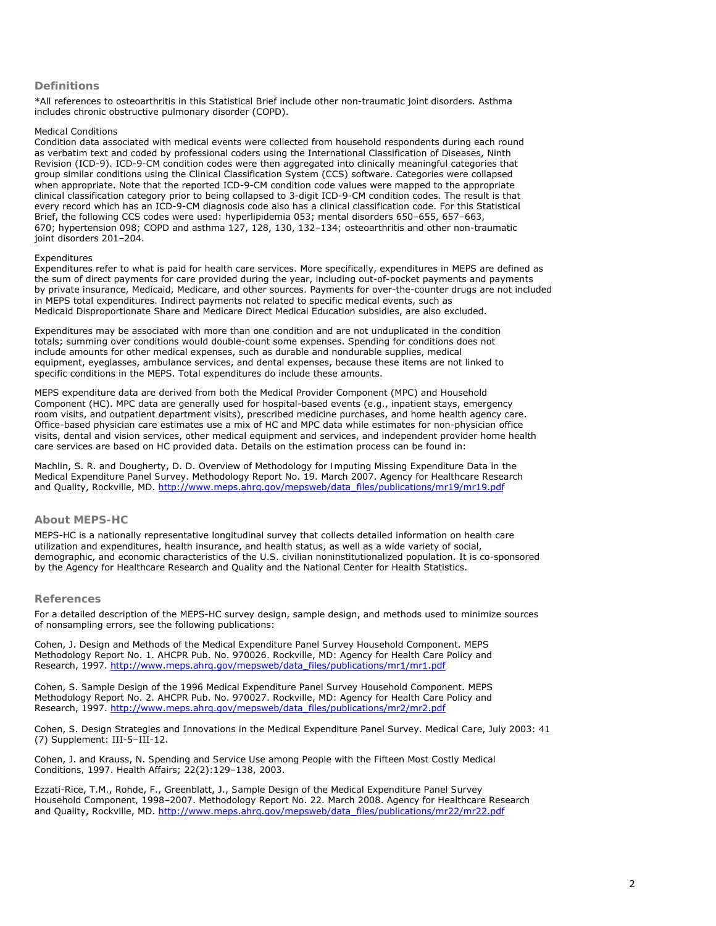#### **Definitions**

\*All references to osteoarthritis in this Statistical Brief include other non-traumatic joint disorders. Asthma includes chronic obstructive pulmonary disorder (COPD).

#### *Medical Conditions*

Condition data associated with medical events were collected from household respondents during each round as verbatim text and coded by professional coders using the International Classification of Diseases, Ninth Revision (ICD-9). ICD-9-CM condition codes were then aggregated into clinically meaningful categories that group similar conditions using the Clinical Classification System (CCS) software. Categories were collapsed when appropriate. Note that the reported ICD-9-CM condition code values were mapped to the appropriate clinical classification category prior to being collapsed to 3-digit ICD-9-CM condition codes. The result is that every record which has an ICD-9-CM diagnosis code also has a clinical classification code. For this Statistical Brief, the following CCS codes were used: hyperlipidemia 053; mental disorders 650–655, 657–663, 670; hypertension 098; COPD and asthma 127, 128, 130, 132–134; osteoarthritis and other non-traumatic joint disorders 201–204.

#### *Expenditures*

Expenditures refer to what is paid for health care services. More specifically, expenditures in MEPS are defined as the sum of direct payments for care provided during the year, including out-of-pocket payments and payments by private insurance, Medicaid, Medicare, and other sources. Payments for over-the-counter drugs are not included in MEPS total expenditures. Indirect payments not related to specific medical events, such as Medicaid Disproportionate Share and Medicare Direct Medical Education subsidies, are also excluded.

Expenditures may be associated with more than one condition and are not unduplicated in the condition totals; summing over conditions would double-count some expenses. Spending for conditions does not include amounts for other medical expenses, such as durable and nondurable supplies, medical equipment, eyeglasses, ambulance services, and dental expenses, because these items are not linked to specific conditions in the MEPS. Total expenditures do include these amounts.

MEPS expenditure data are derived from both the Medical Provider Component (MPC) and Household Component (HC). MPC data are generally used for hospital-based events (e.g., inpatient stays, emergency room visits, and outpatient department visits), prescribed medicine purchases, and home health agency care. Office-based physician care estimates use a mix of HC and MPC data while estimates for non-physician office visits, dental and vision services, other medical equipment and services, and independent provider home health care services are based on HC provided data. Details on the estimation process can be found in:

Machlin, S. R. and Dougherty, D. D. *Overview of Methodology for Imputing Missing Expenditure Data in the Medical Expenditure Panel Survey*. Methodology Report No. 19. March 2007. Agency for Healthcare Research and Quality, Rockville, MD. [http://www.meps.ahrq.gov/mepsweb/data\\_files/publications/mr19/mr19.pdf](http://www.meps.ahrq.gov/mepsweb/data_files/publications/mr19/mr19.pdf)

# **About MEPS-HC**

MEPS-HC is a nationally representative longitudinal survey that collects detailed information on health care utilization and expenditures, health insurance, and health status, as well as a wide variety of social, demographic, and economic characteristics of the U.S. civilian noninstitutionalized population. It is co-sponsored by the Agency for Healthcare Research and Quality and the National Center for Health Statistics.

#### **References**

For a detailed description of the MEPS-HC survey design, sample design, and methods used to minimize sources of nonsampling errors, see the following publications:

Cohen, J. *Design and Methods of the Medical Expenditure Panel Survey Household Component*. MEPS Methodology Report No. 1. AHCPR Pub. No. 970026. Rockville, MD: Agency for Health Care Policy and Research, 1997. [http://www.meps.ahrq.gov/mepsweb/data\\_files/publications/mr1/mr1.pdf](http://www.meps.ahrq.gov/mepsweb/data_files/publications/mr1/mr1.pdf)

Cohen, S. *Sample Design of the 1996 Medical Expenditure Panel Survey Household Component*. MEPS Methodology Report No. 2. AHCPR Pub. No. 970027. Rockville, MD: Agency for Health Care Policy and Research, 1997. [http://www.meps.ahrq.gov/mepsweb/data\\_files/publications/mr2/mr2.pdf](http://www.meps.ahrq.gov/mepsweb/data_files/publications/mr2/mr2.pdf)

Cohen, S. Design Strategies and Innovations in the Medical Expenditure Panel Survey. *Medical Care*, July 2003: 41 (7) Supplement: III-5–III-12.

Cohen, J. and Krauss, N. *Spending and Service Use among People with the Fifteen Most Costly Medical Conditions, 1997*. Health Affairs; 22(2):129–138, 2003.

Ezzati-Rice, T.M., Rohde, F., Greenblatt, J., *Sample Design of the Medical Expenditure Panel Survey Household Component, 1998–2007*. Methodology Report No. 22. March 2008. Agency for Healthcare Research and Quality, Rockville, MD. [http://www.meps.ahrq.gov/mepsweb/data\\_files/publications/mr22/mr22.pdf](http://www.meps.ahrq.gov/mepsweb/data_files/publications/mr22/mr22.pdf)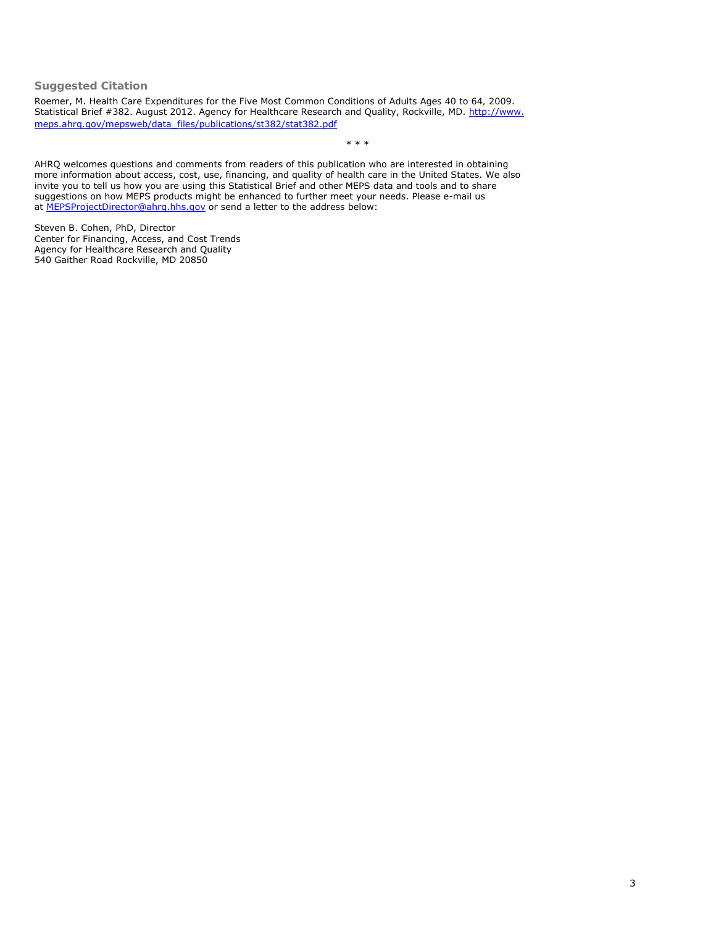**Suggested Citation**

Roemer, M. *Health Care Expenditures for the Five Most Common Conditions of Adults Ages 40 to 64, 2009*. Statistical Brief #382. August 2012. Agency for Healthcare Research and Quality, Rockville, MD. [http://www.](http://www.meps.ahrq.gov/mepsweb/data_files/publications/st382/stat382.pdf) [meps.ahrq.gov/mepsweb/data\\_files/publications/st382/stat382.pdf](http://www.meps.ahrq.gov/mepsweb/data_files/publications/st382/stat382.pdf)

\* \* \*

AHRQ welcomes questions and comments from readers of this publication who are interested in obtaining more information about access, cost, use, financing, and quality of health care in the United States. We also invite you to tell us how you are using this Statistical Brief and other MEPS data and tools and to share suggestions on how MEPS products might be enhanced to further meet your needs. Please e-mail us at [MEPSProjectDirector@ahrq.hhs.gov](file:////SSTHOST50/Projects/Ahrq3Web/MEPSPUBS/gen_sb/data_files/publications/sb382/MEPSProjectDirector@ahrq.hhs.gov) or send a letter to the address below:

Steven B. Cohen, PhD, Director Center for Financing, Access, and Cost Trends Agency for Healthcare Research and Quality 540 Gaither Road Rockville, MD 20850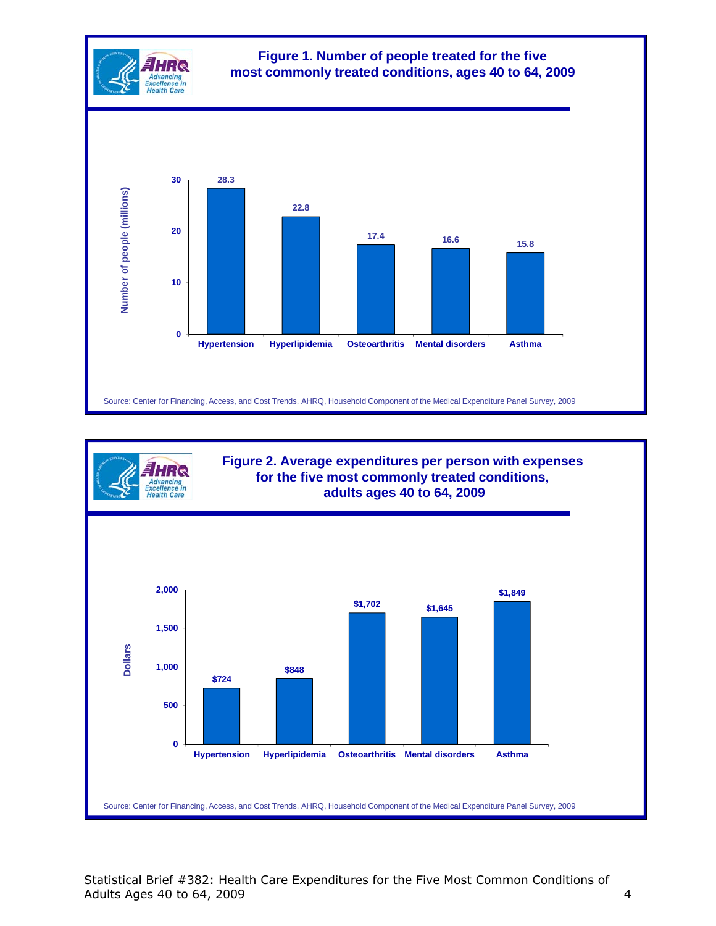



**Figure 2. Average expenditures per person with expenses for the five most commonly treated conditions, adults ages 40 to 64, 2009**

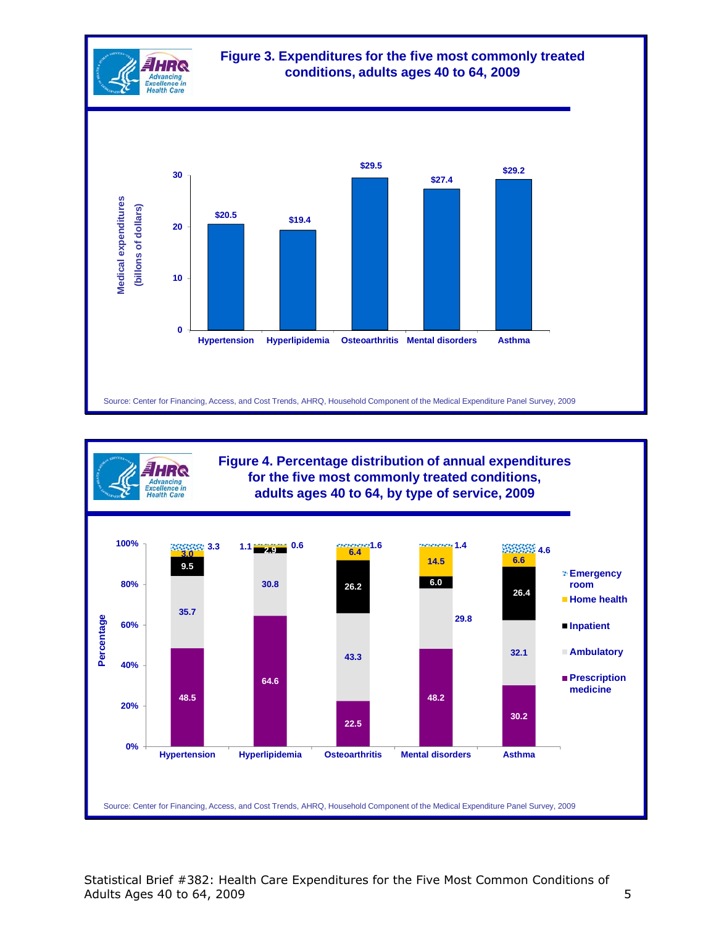



HRQ Advancing<br>:xcellence in<br>Health Care